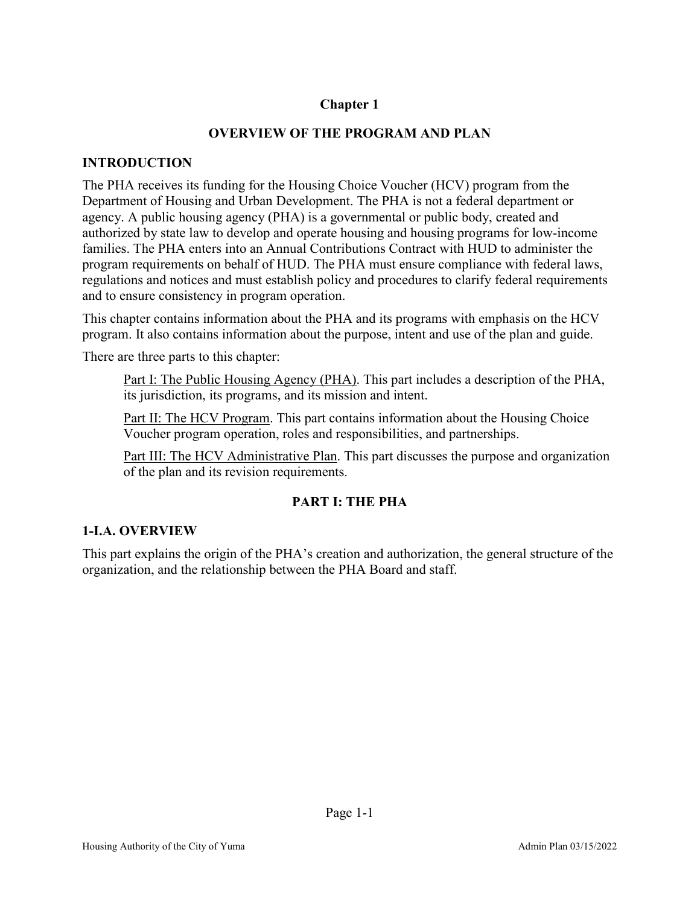# **Chapter 1**

### **OVERVIEW OF THE PROGRAM AND PLAN**

#### **INTRODUCTION**

The PHA receives its funding for the Housing Choice Voucher (HCV) program from the Department of Housing and Urban Development. The PHA is not a federal department or agency. A public housing agency (PHA) is a governmental or public body, created and authorized by state law to develop and operate housing and housing programs for low-income families. The PHA enters into an Annual Contributions Contract with HUD to administer the program requirements on behalf of HUD. The PHA must ensure compliance with federal laws, regulations and notices and must establish policy and procedures to clarify federal requirements and to ensure consistency in program operation.

This chapter contains information about the PHA and its programs with emphasis on the HCV program. It also contains information about the purpose, intent and use of the plan and guide.

There are three parts to this chapter:

Part I: The Public Housing Agency (PHA). This part includes a description of the PHA, its jurisdiction, its programs, and its mission and intent.

Part II: The HCV Program. This part contains information about the Housing Choice Voucher program operation, roles and responsibilities, and partnerships.

Part III: The HCV Administrative Plan. This part discusses the purpose and organization of the plan and its revision requirements.

### **PART I: THE PHA**

### **1-I.A. OVERVIEW**

This part explains the origin of the PHA's creation and authorization, the general structure of the organization, and the relationship between the PHA Board and staff.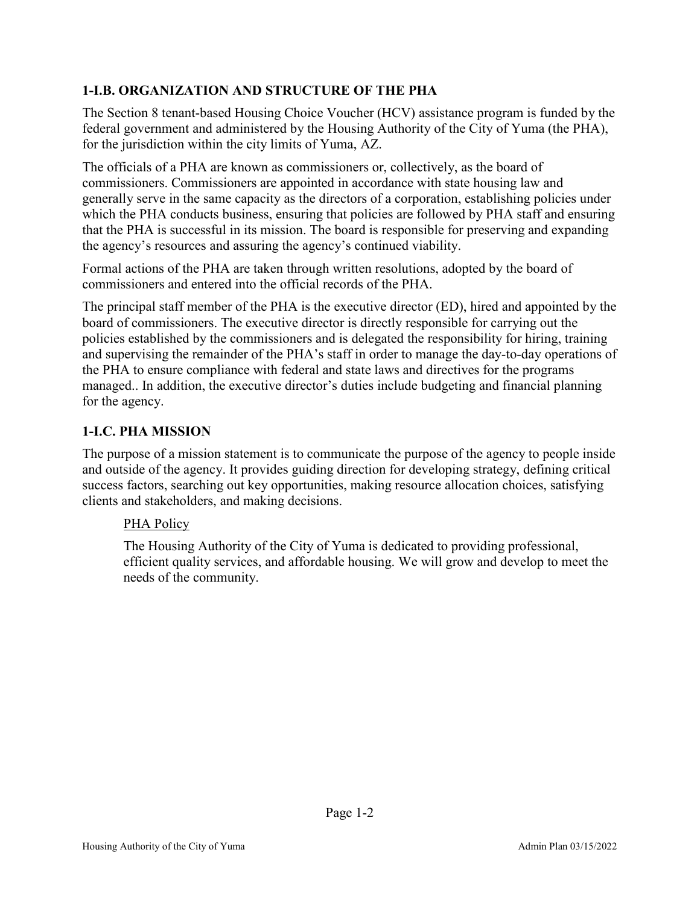# **1-I.B. ORGANIZATION AND STRUCTURE OF THE PHA**

The Section 8 tenant-based Housing Choice Voucher (HCV) assistance program is funded by the federal government and administered by the Housing Authority of the City of Yuma (the PHA), for the jurisdiction within the city limits of Yuma, AZ.

The officials of a PHA are known as commissioners or, collectively, as the board of commissioners. Commissioners are appointed in accordance with state housing law and generally serve in the same capacity as the directors of a corporation, establishing policies under which the PHA conducts business, ensuring that policies are followed by PHA staff and ensuring that the PHA is successful in its mission. The board is responsible for preserving and expanding the agency's resources and assuring the agency's continued viability.

Formal actions of the PHA are taken through written resolutions, adopted by the board of commissioners and entered into the official records of the PHA.

The principal staff member of the PHA is the executive director (ED), hired and appointed by the board of commissioners. The executive director is directly responsible for carrying out the policies established by the commissioners and is delegated the responsibility for hiring, training and supervising the remainder of the PHA's staff in order to manage the day-to-day operations of the PHA to ensure compliance with federal and state laws and directives for the programs managed.. In addition, the executive director's duties include budgeting and financial planning for the agency.

# **1-I.C. PHA MISSION**

The purpose of a mission statement is to communicate the purpose of the agency to people inside and outside of the agency. It provides guiding direction for developing strategy, defining critical success factors, searching out key opportunities, making resource allocation choices, satisfying clients and stakeholders, and making decisions.

# PHA Policy

The Housing Authority of the City of Yuma is dedicated to providing professional, efficient quality services, and affordable housing. We will grow and develop to meet the needs of the community.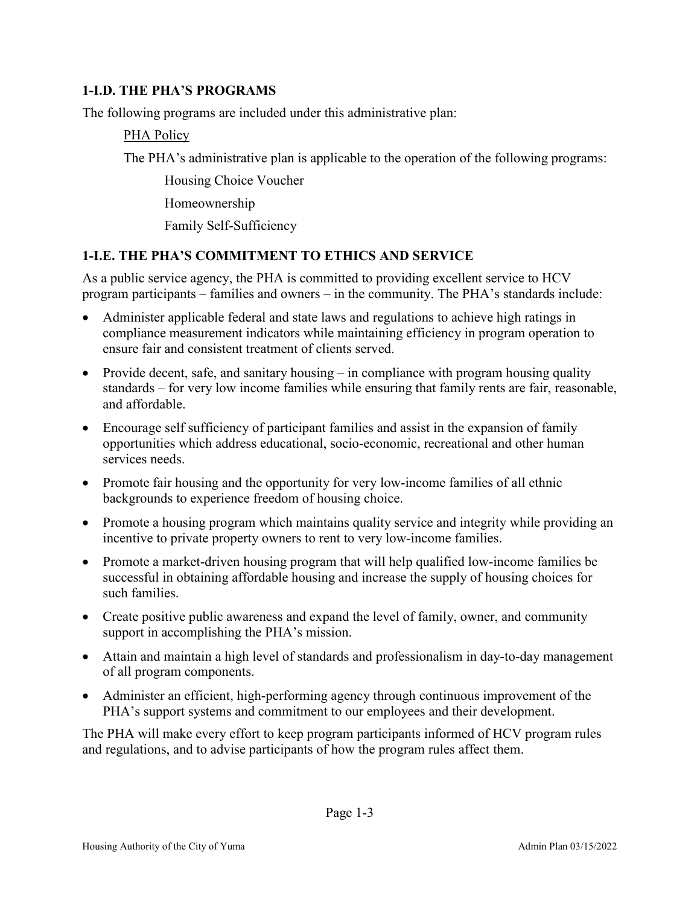### **1-I.D. THE PHA'S PROGRAMS**

The following programs are included under this administrative plan:

### PHA Policy

The PHA's administrative plan is applicable to the operation of the following programs:

Housing Choice Voucher

Homeownership

Family Self-Sufficiency

# **1-I.E. THE PHA'S COMMITMENT TO ETHICS AND SERVICE**

As a public service agency, the PHA is committed to providing excellent service to HCV program participants – families and owners – in the community. The PHA's standards include:

- Administer applicable federal and state laws and regulations to achieve high ratings in compliance measurement indicators while maintaining efficiency in program operation to ensure fair and consistent treatment of clients served.
- Provide decent, safe, and sanitary housing in compliance with program housing quality standards – for very low income families while ensuring that family rents are fair, reasonable, and affordable.
- Encourage self sufficiency of participant families and assist in the expansion of family opportunities which address educational, socio-economic, recreational and other human services needs.
- Promote fair housing and the opportunity for very low-income families of all ethnic backgrounds to experience freedom of housing choice.
- Promote a housing program which maintains quality service and integrity while providing an incentive to private property owners to rent to very low-income families.
- Promote a market-driven housing program that will help qualified low-income families be successful in obtaining affordable housing and increase the supply of housing choices for such families.
- Create positive public awareness and expand the level of family, owner, and community support in accomplishing the PHA's mission.
- Attain and maintain a high level of standards and professionalism in day-to-day management of all program components.
- Administer an efficient, high-performing agency through continuous improvement of the PHA's support systems and commitment to our employees and their development.

The PHA will make every effort to keep program participants informed of HCV program rules and regulations, and to advise participants of how the program rules affect them.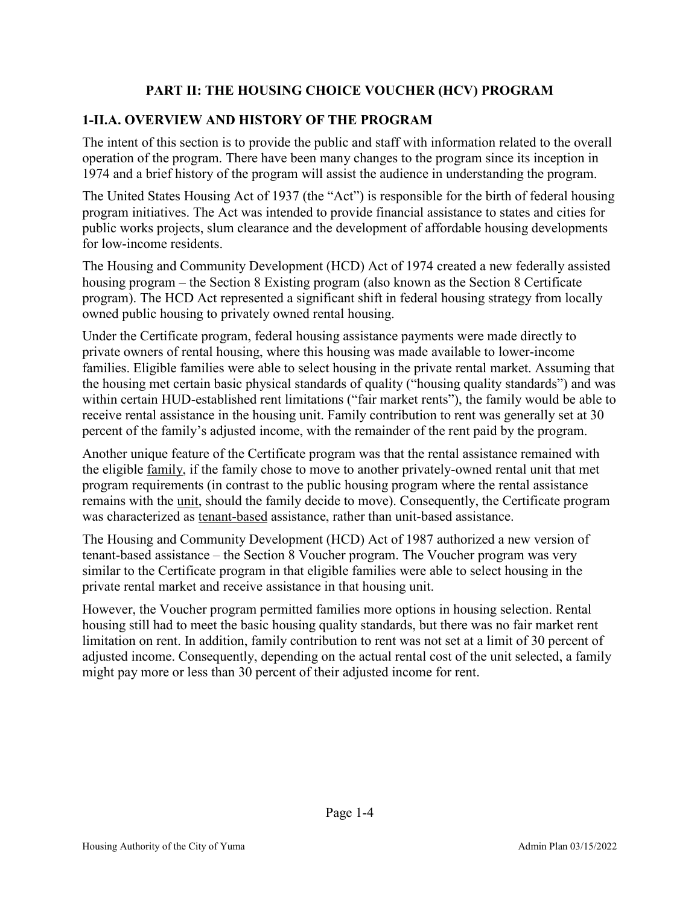# **PART II: THE HOUSING CHOICE VOUCHER (HCV) PROGRAM**

# **1-II.A. OVERVIEW AND HISTORY OF THE PROGRAM**

The intent of this section is to provide the public and staff with information related to the overall operation of the program. There have been many changes to the program since its inception in 1974 and a brief history of the program will assist the audience in understanding the program.

The United States Housing Act of 1937 (the "Act") is responsible for the birth of federal housing program initiatives. The Act was intended to provide financial assistance to states and cities for public works projects, slum clearance and the development of affordable housing developments for low-income residents.

The Housing and Community Development (HCD) Act of 1974 created a new federally assisted housing program – the Section 8 Existing program (also known as the Section 8 Certificate program). The HCD Act represented a significant shift in federal housing strategy from locally owned public housing to privately owned rental housing.

Under the Certificate program, federal housing assistance payments were made directly to private owners of rental housing, where this housing was made available to lower-income families. Eligible families were able to select housing in the private rental market. Assuming that the housing met certain basic physical standards of quality ("housing quality standards") and was within certain HUD-established rent limitations ("fair market rents"), the family would be able to receive rental assistance in the housing unit. Family contribution to rent was generally set at 30 percent of the family's adjusted income, with the remainder of the rent paid by the program.

Another unique feature of the Certificate program was that the rental assistance remained with the eligible family, if the family chose to move to another privately-owned rental unit that met program requirements (in contrast to the public housing program where the rental assistance remains with the unit, should the family decide to move). Consequently, the Certificate program was characterized as tenant-based assistance, rather than unit-based assistance.

The Housing and Community Development (HCD) Act of 1987 authorized a new version of tenant-based assistance – the Section 8 Voucher program. The Voucher program was very similar to the Certificate program in that eligible families were able to select housing in the private rental market and receive assistance in that housing unit.

However, the Voucher program permitted families more options in housing selection. Rental housing still had to meet the basic housing quality standards, but there was no fair market rent limitation on rent. In addition, family contribution to rent was not set at a limit of 30 percent of adjusted income. Consequently, depending on the actual rental cost of the unit selected, a family might pay more or less than 30 percent of their adjusted income for rent.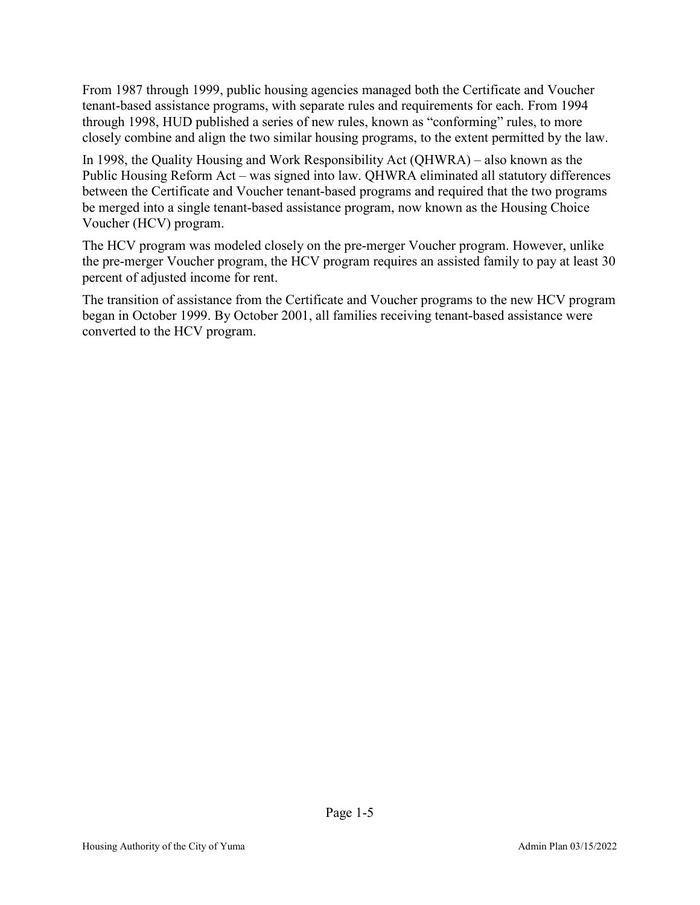From 1987 through 1999, public housing agencies managed both the Certificate and Voucher tenant-based assistance programs, with separate rules and requirements for each. From 1994 through 1998, HUD published a series of new rules, known as "conforming" rules, to more closely combine and align the two similar housing programs, to the extent permitted by the law.

In 1998, the Quality Housing and Work Responsibility Act (QHWRA) – also known as the Public Housing Reform Act – was signed into law. QHWRA eliminated all statutory differences between the Certificate and Voucher tenant-based programs and required that the two programs be merged into a single tenant-based assistance program, now known as the Housing Choice Voucher (HCV) program.

The HCV program was modeled closely on the pre-merger Voucher program. However, unlike the pre-merger Voucher program, the HCV program requires an assisted family to pay at least 30 percent of adjusted income for rent.

The transition of assistance from the Certificate and Voucher programs to the new HCV program began in October 1999. By October 2001, all families receiving tenant-based assistance were converted to the HCV program.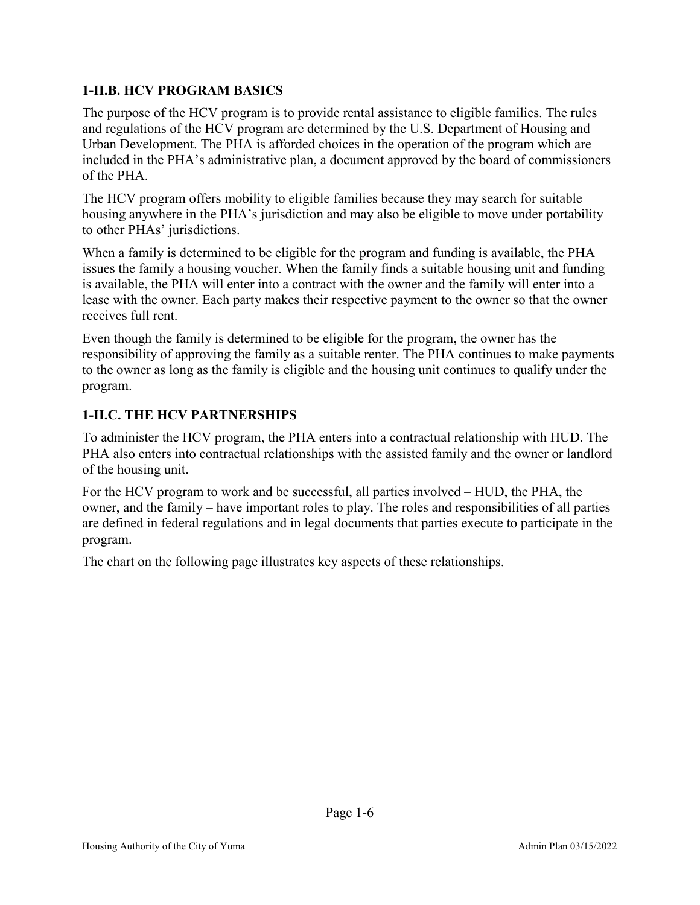# **1-II.B. HCV PROGRAM BASICS**

The purpose of the HCV program is to provide rental assistance to eligible families. The rules and regulations of the HCV program are determined by the U.S. Department of Housing and Urban Development. The PHA is afforded choices in the operation of the program which are included in the PHA's administrative plan, a document approved by the board of commissioners of the PHA.

The HCV program offers mobility to eligible families because they may search for suitable housing anywhere in the PHA's jurisdiction and may also be eligible to move under portability to other PHAs' jurisdictions.

When a family is determined to be eligible for the program and funding is available, the PHA issues the family a housing voucher. When the family finds a suitable housing unit and funding is available, the PHA will enter into a contract with the owner and the family will enter into a lease with the owner. Each party makes their respective payment to the owner so that the owner receives full rent.

Even though the family is determined to be eligible for the program, the owner has the responsibility of approving the family as a suitable renter. The PHA continues to make payments to the owner as long as the family is eligible and the housing unit continues to qualify under the program.

# **1-II.C. THE HCV PARTNERSHIPS**

To administer the HCV program, the PHA enters into a contractual relationship with HUD. The PHA also enters into contractual relationships with the assisted family and the owner or landlord of the housing unit.

For the HCV program to work and be successful, all parties involved – HUD, the PHA, the owner, and the family – have important roles to play. The roles and responsibilities of all parties are defined in federal regulations and in legal documents that parties execute to participate in the program.

The chart on the following page illustrates key aspects of these relationships.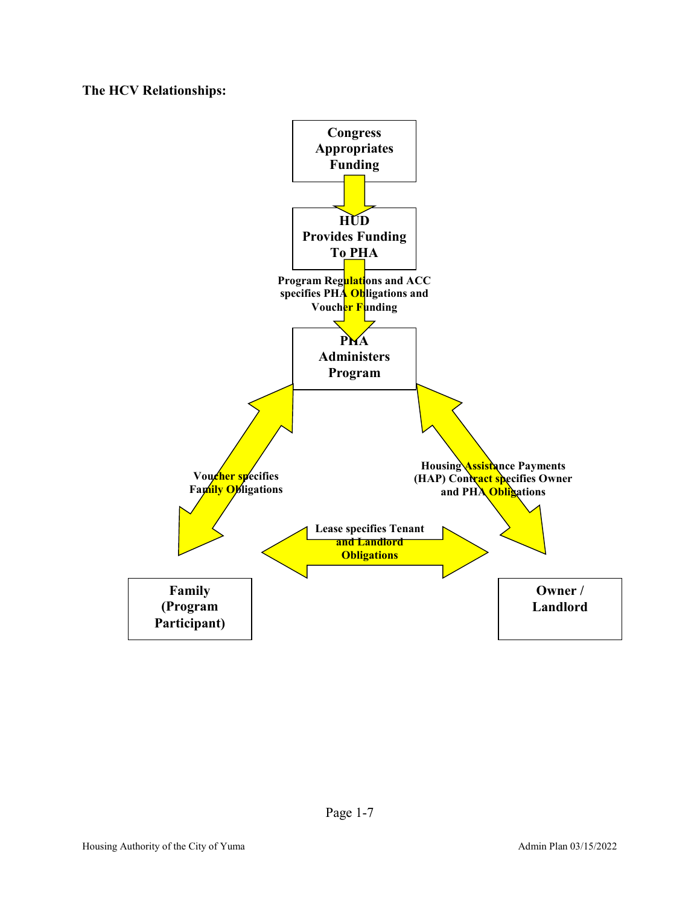**The HCV Relationships:**

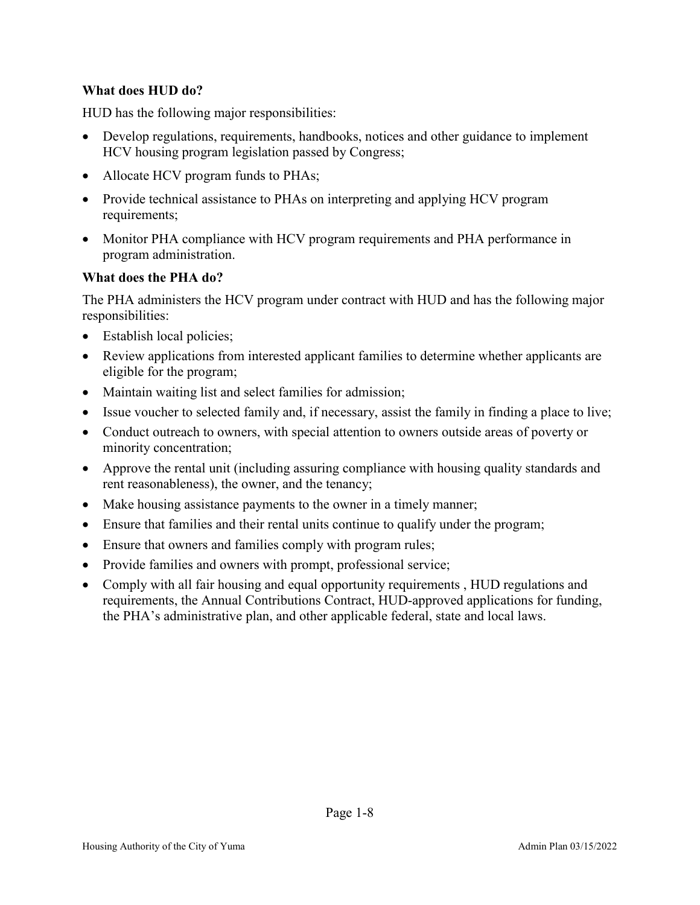#### **What does HUD do?**

HUD has the following major responsibilities:

- Develop regulations, requirements, handbooks, notices and other guidance to implement HCV housing program legislation passed by Congress;
- Allocate HCV program funds to PHAs;
- Provide technical assistance to PHAs on interpreting and applying HCV program requirements;
- Monitor PHA compliance with HCV program requirements and PHA performance in program administration.

#### **What does the PHA do?**

The PHA administers the HCV program under contract with HUD and has the following major responsibilities:

- Establish local policies;
- Review applications from interested applicant families to determine whether applicants are eligible for the program;
- Maintain waiting list and select families for admission;
- Issue voucher to selected family and, if necessary, assist the family in finding a place to live;
- Conduct outreach to owners, with special attention to owners outside areas of poverty or minority concentration;
- Approve the rental unit (including assuring compliance with housing quality standards and rent reasonableness), the owner, and the tenancy;
- Make housing assistance payments to the owner in a timely manner;
- Ensure that families and their rental units continue to qualify under the program;
- Ensure that owners and families comply with program rules;
- Provide families and owners with prompt, professional service;
- Comply with all fair housing and equal opportunity requirements, HUD regulations and requirements, the Annual Contributions Contract, HUD-approved applications for funding, the PHA's administrative plan, and other applicable federal, state and local laws.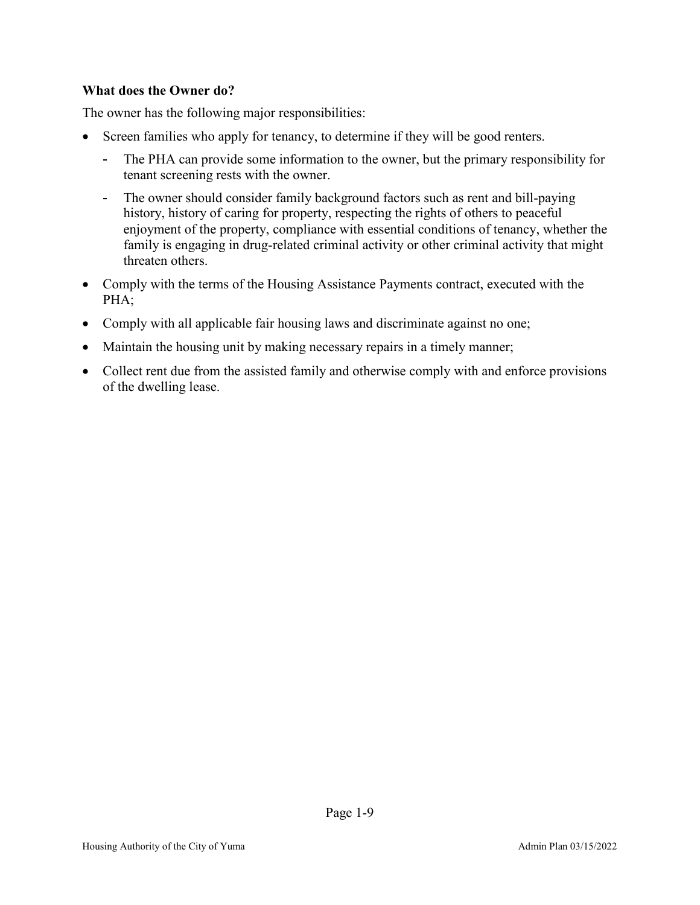#### **What does the Owner do?**

The owner has the following major responsibilities:

- Screen families who apply for tenancy, to determine if they will be good renters.
	- The PHA can provide some information to the owner, but the primary responsibility for tenant screening rests with the owner.
	- The owner should consider family background factors such as rent and bill-paying history, history of caring for property, respecting the rights of others to peaceful enjoyment of the property, compliance with essential conditions of tenancy, whether the family is engaging in drug-related criminal activity or other criminal activity that might threaten others.
- Comply with the terms of the Housing Assistance Payments contract, executed with the PHA;
- Comply with all applicable fair housing laws and discriminate against no one;
- Maintain the housing unit by making necessary repairs in a timely manner;
- Collect rent due from the assisted family and otherwise comply with and enforce provisions of the dwelling lease.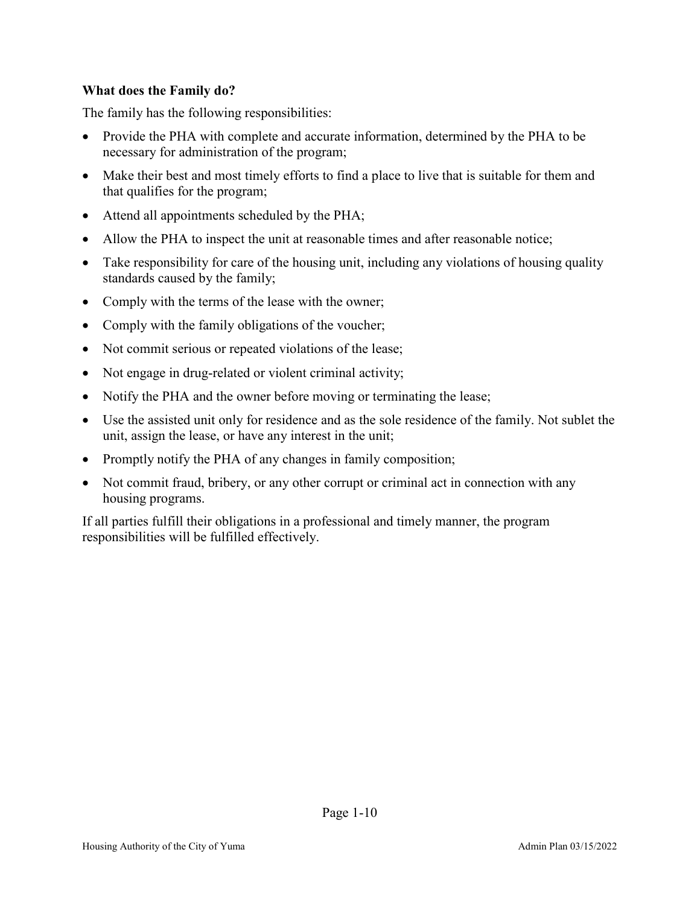#### **What does the Family do?**

The family has the following responsibilities:

- Provide the PHA with complete and accurate information, determined by the PHA to be necessary for administration of the program;
- Make their best and most timely efforts to find a place to live that is suitable for them and that qualifies for the program;
- Attend all appointments scheduled by the PHA;
- Allow the PHA to inspect the unit at reasonable times and after reasonable notice;
- Take responsibility for care of the housing unit, including any violations of housing quality standards caused by the family;
- Comply with the terms of the lease with the owner;
- Comply with the family obligations of the voucher;
- Not commit serious or repeated violations of the lease;
- Not engage in drug-related or violent criminal activity;
- Notify the PHA and the owner before moving or terminating the lease;
- Use the assisted unit only for residence and as the sole residence of the family. Not sublet the unit, assign the lease, or have any interest in the unit;
- Promptly notify the PHA of any changes in family composition;
- Not commit fraud, bribery, or any other corrupt or criminal act in connection with any housing programs.

If all parties fulfill their obligations in a professional and timely manner, the program responsibilities will be fulfilled effectively.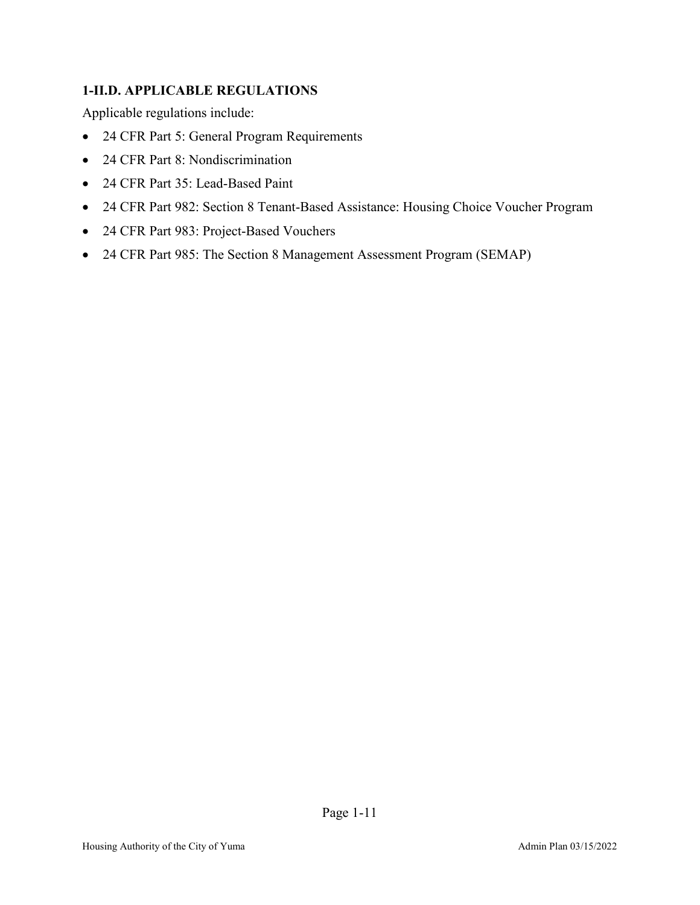# **1-II.D. APPLICABLE REGULATIONS**

Applicable regulations include:

- 24 CFR Part 5: General Program Requirements
- 24 CFR Part 8: Nondiscrimination
- 24 CFR Part 35: Lead-Based Paint
- 24 CFR Part 982: Section 8 Tenant-Based Assistance: Housing Choice Voucher Program
- 24 CFR Part 983: Project-Based Vouchers
- 24 CFR Part 985: The Section 8 Management Assessment Program (SEMAP)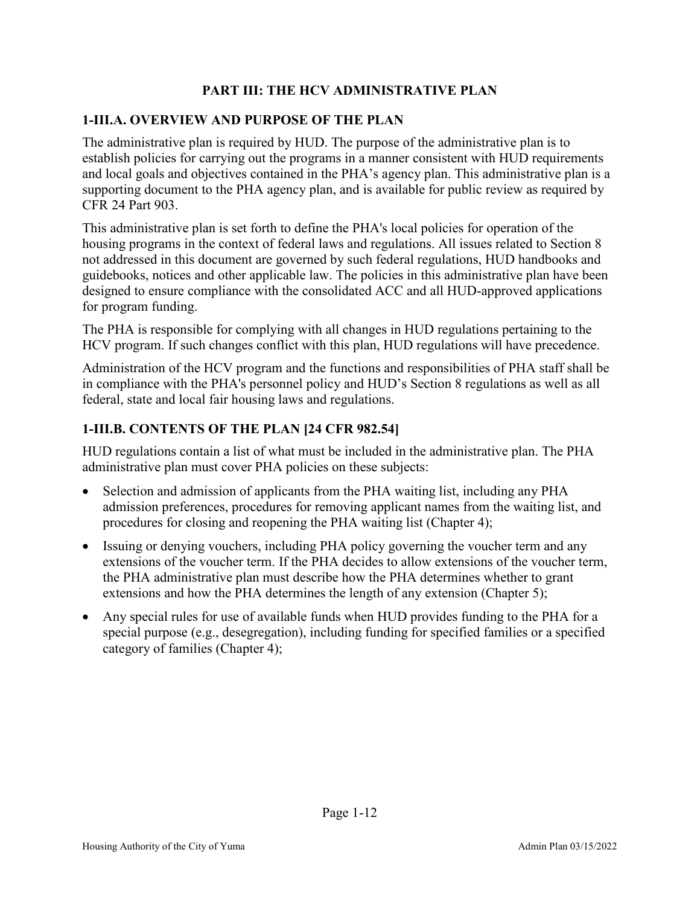# **PART III: THE HCV ADMINISTRATIVE PLAN**

### **1-III.A. OVERVIEW AND PURPOSE OF THE PLAN**

The administrative plan is required by HUD. The purpose of the administrative plan is to establish policies for carrying out the programs in a manner consistent with HUD requirements and local goals and objectives contained in the PHA's agency plan. This administrative plan is a supporting document to the PHA agency plan, and is available for public review as required by CFR 24 Part 903.

This administrative plan is set forth to define the PHA's local policies for operation of the housing programs in the context of federal laws and regulations. All issues related to Section 8 not addressed in this document are governed by such federal regulations, HUD handbooks and guidebooks, notices and other applicable law. The policies in this administrative plan have been designed to ensure compliance with the consolidated ACC and all HUD-approved applications for program funding.

The PHA is responsible for complying with all changes in HUD regulations pertaining to the HCV program. If such changes conflict with this plan, HUD regulations will have precedence.

Administration of the HCV program and the functions and responsibilities of PHA staff shall be in compliance with the PHA's personnel policy and HUD's Section 8 regulations as well as all federal, state and local fair housing laws and regulations.

# **1-III.B. CONTENTS OF THE PLAN [24 CFR 982.54]**

HUD regulations contain a list of what must be included in the administrative plan. The PHA administrative plan must cover PHA policies on these subjects:

- Selection and admission of applicants from the PHA waiting list, including any PHA admission preferences, procedures for removing applicant names from the waiting list, and procedures for closing and reopening the PHA waiting list (Chapter 4);
- Issuing or denying vouchers, including PHA policy governing the voucher term and any extensions of the voucher term. If the PHA decides to allow extensions of the voucher term, the PHA administrative plan must describe how the PHA determines whether to grant extensions and how the PHA determines the length of any extension (Chapter 5);
- Any special rules for use of available funds when HUD provides funding to the PHA for a special purpose (e.g., desegregation), including funding for specified families or a specified category of families (Chapter 4);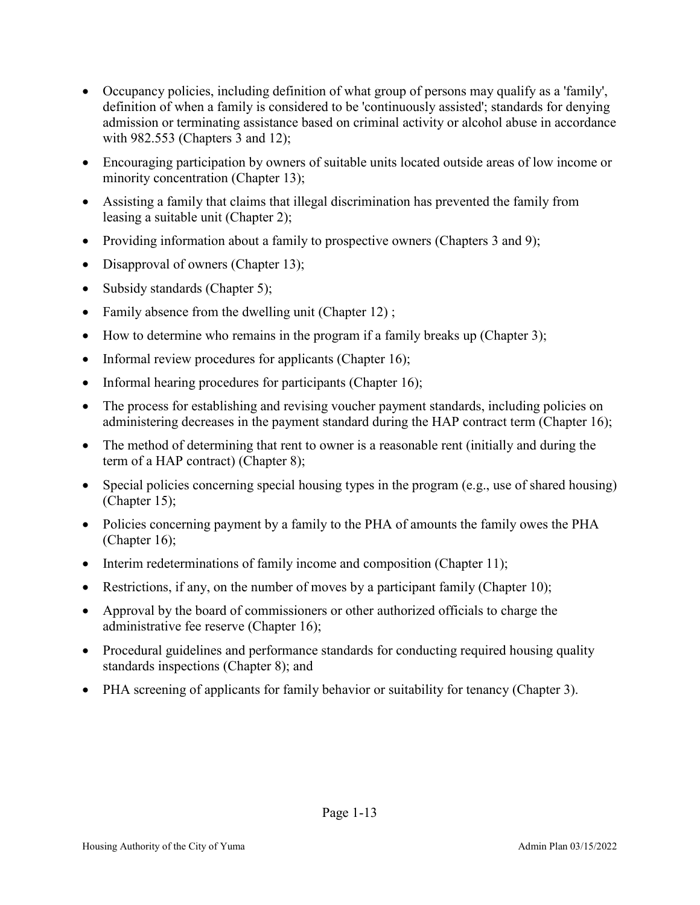- Occupancy policies, including definition of what group of persons may qualify as a 'family', definition of when a family is considered to be 'continuously assisted'; standards for denying admission or terminating assistance based on criminal activity or alcohol abuse in accordance with 982.553 (Chapters 3 and 12);
- Encouraging participation by owners of suitable units located outside areas of low income or minority concentration (Chapter 13);
- Assisting a family that claims that illegal discrimination has prevented the family from leasing a suitable unit (Chapter 2);
- Providing information about a family to prospective owners (Chapters 3 and 9);
- Disapproval of owners (Chapter 13);
- Subsidy standards (Chapter 5);
- Family absence from the dwelling unit (Chapter 12);
- How to determine who remains in the program if a family breaks up (Chapter 3);
- Informal review procedures for applicants (Chapter 16);
- Informal hearing procedures for participants (Chapter 16);
- The process for establishing and revising voucher payment standards, including policies on administering decreases in the payment standard during the HAP contract term (Chapter 16);
- The method of determining that rent to owner is a reasonable rent (initially and during the term of a HAP contract) (Chapter 8);
- Special policies concerning special housing types in the program (e.g., use of shared housing) (Chapter 15);
- Policies concerning payment by a family to the PHA of amounts the family owes the PHA (Chapter 16);
- Interim redeterminations of family income and composition (Chapter 11);
- Restrictions, if any, on the number of moves by a participant family (Chapter 10);
- Approval by the board of commissioners or other authorized officials to charge the administrative fee reserve (Chapter 16);
- Procedural guidelines and performance standards for conducting required housing quality standards inspections (Chapter 8); and
- PHA screening of applicants for family behavior or suitability for tenancy (Chapter 3).